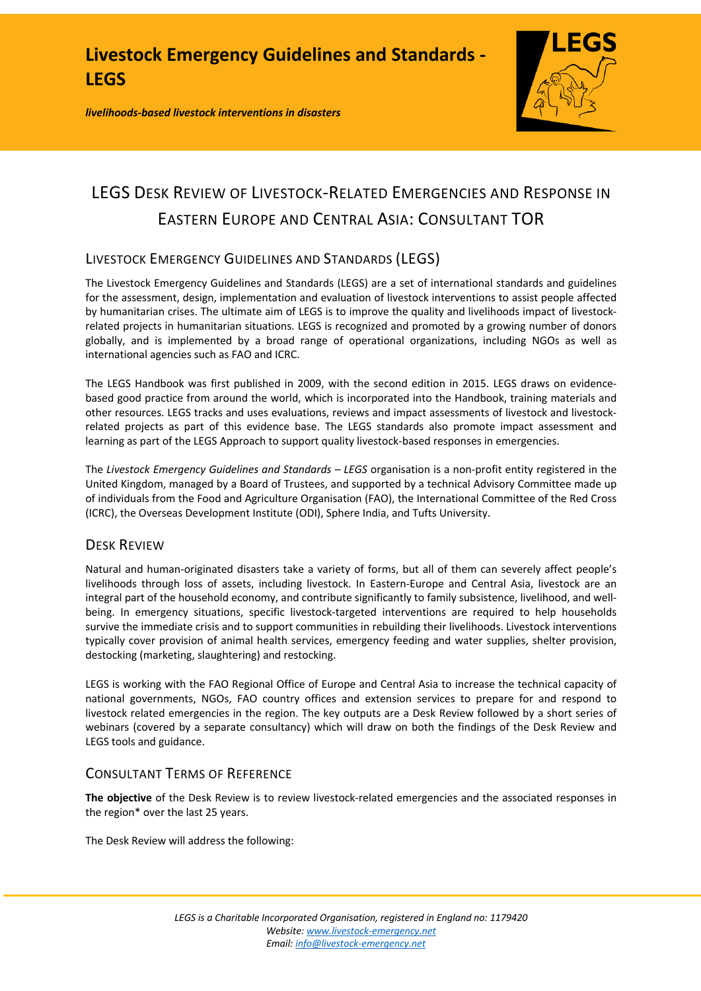*livelihoods-based livestock interventions in disasters*



# LEGS DESK REVIEW OF LIVESTOCK-RELATED EMERGENCIES AND RESPONSE IN EASTERN EUROPE AND CENTRAL ASIA: CONSULTANT TOR

## LIVESTOCK EMERGENCY GUIDELINES AND STANDARDS (LEGS)

The Livestock Emergency Guidelines and Standards (LEGS) are a set of international standards and guidelines for the assessment, design, implementation and evaluation of livestock interventions to assist people affected by humanitarian crises. The ultimate aim of LEGS is to improve the quality and livelihoods impact of livestockrelated projects in humanitarian situations. LEGS is recognized and promoted by a growing number of donors globally, and is implemented by a broad range of operational organizations, including NGOs as well as international agencies such as FAO and ICRC.

The LEGS Handbook was first published in 2009, with the second edition in 2015. LEGS draws on evidencebased good practice from around the world, which is incorporated into the Handbook, training materials and other resources. LEGS tracks and uses evaluations, reviews and impact assessments of livestock and livestockrelated projects as part of this evidence base. The LEGS standards also promote impact assessment and learning as part of the LEGS Approach to support quality livestock-based responses in emergencies.

The *Livestock Emergency Guidelines and Standards – LEGS* organisation is a non-profit entity registered in the United Kingdom, managed by a Board of Trustees, and supported by a technical Advisory Committee made up of individuals from the Food and Agriculture Organisation (FAO), the International Committee of the Red Cross (ICRC), the Overseas Development Institute (ODI), Sphere India, and Tufts University.

### DESK REVIEW

Natural and human-originated disasters take a variety of forms, but all of them can severely affect people's livelihoods through loss of assets, including livestock. In Eastern-Europe and Central Asia, livestock are an integral part of the household economy, and contribute significantly to family subsistence, livelihood, and wellbeing. In emergency situations, specific livestock-targeted interventions are required to help households survive the immediate crisis and to support communities in rebuilding their livelihoods. Livestock interventions typically cover provision of animal health services, emergency feeding and water supplies, shelter provision, destocking (marketing, slaughtering) and restocking.

LEGS is working with the FAO Regional Office of Europe and Central Asia to increase the technical capacity of national governments, NGOs, FAO country offices and extension services to prepare for and respond to livestock related emergencies in the region. The key outputs are a Desk Review followed by a short series of webinars (covered by a separate consultancy) which will draw on both the findings of the Desk Review and LEGS tools and guidance.

### CONSULTANT TERMS OF REFERENCE

**The objective** of the Desk Review is to review livestock-related emergencies and the associated responses in the region\* over the last 25 years.

The Desk Review will address the following: